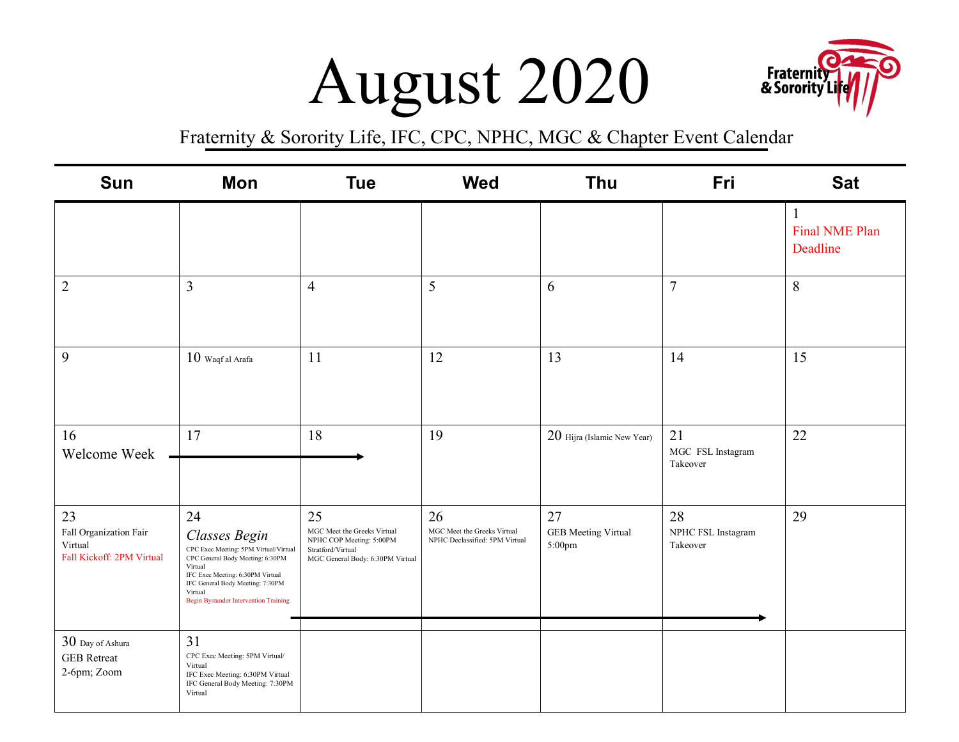## $\text{August } 2020$  Fraternith



| Sun                                                                  | Mon                                                                                                                                                                                                                                            | <b>Tue</b>                                                                                                             | <b>Wed</b>                                                          | Thu                                        | Fri                                  | <b>Sat</b>                             |
|----------------------------------------------------------------------|------------------------------------------------------------------------------------------------------------------------------------------------------------------------------------------------------------------------------------------------|------------------------------------------------------------------------------------------------------------------------|---------------------------------------------------------------------|--------------------------------------------|--------------------------------------|----------------------------------------|
|                                                                      |                                                                                                                                                                                                                                                |                                                                                                                        |                                                                     |                                            |                                      | 1<br><b>Final NME Plan</b><br>Deadline |
| $\overline{2}$                                                       | 3                                                                                                                                                                                                                                              | $\overline{4}$                                                                                                         | 5                                                                   | 6                                          | $\overline{7}$                       | 8                                      |
| 9                                                                    | $10$ Waqf al Arafa                                                                                                                                                                                                                             | 11                                                                                                                     | 12                                                                  | 13                                         | 14                                   | 15                                     |
| 16<br>Welcome Week                                                   | 17                                                                                                                                                                                                                                             | 18                                                                                                                     | 19                                                                  | 20 Hijra (Islamic New Year)                | 21<br>MGC FSL Instagram<br>Takeover  | 22                                     |
| 23<br>Fall Organization Fair<br>Virtual<br>Fall Kickoff: 2PM Virtual | 24<br>Classes Begin<br>CPC Exec Meeting: 5PM Virtual/Virtual<br>CPC General Body Meeting: 6:30PM<br>Virtual<br>IFC Exec Meeting: 6:30PM Virtual<br>IFC General Body Meeting: 7:30PM<br>Virtual<br><b>Begin Bystander Intervention Training</b> | 25<br>MGC Meet the Greeks Virtual<br>NPHC COP Meeting: 5:00PM<br>Stratford/Virtual<br>MGC General Body: 6:30PM Virtual | 26<br>MGC Meet the Greeks Virtual<br>NPHC Declassified: 5PM Virtual | 27<br><b>GEB</b> Meeting Virtual<br>5:00pm | 28<br>NPHC FSL Instagram<br>Takeover | 29                                     |
| 30 Day of Ashura<br><b>GEB</b> Retreat<br>2-6pm; Zoom                | 31<br>CPC Exec Meeting: 5PM Virtual/<br>Virtual<br>IFC Exec Meeting: 6:30PM Virtual<br>IFC General Body Meeting: 7:30PM<br>Virtual                                                                                                             |                                                                                                                        |                                                                     |                                            |                                      |                                        |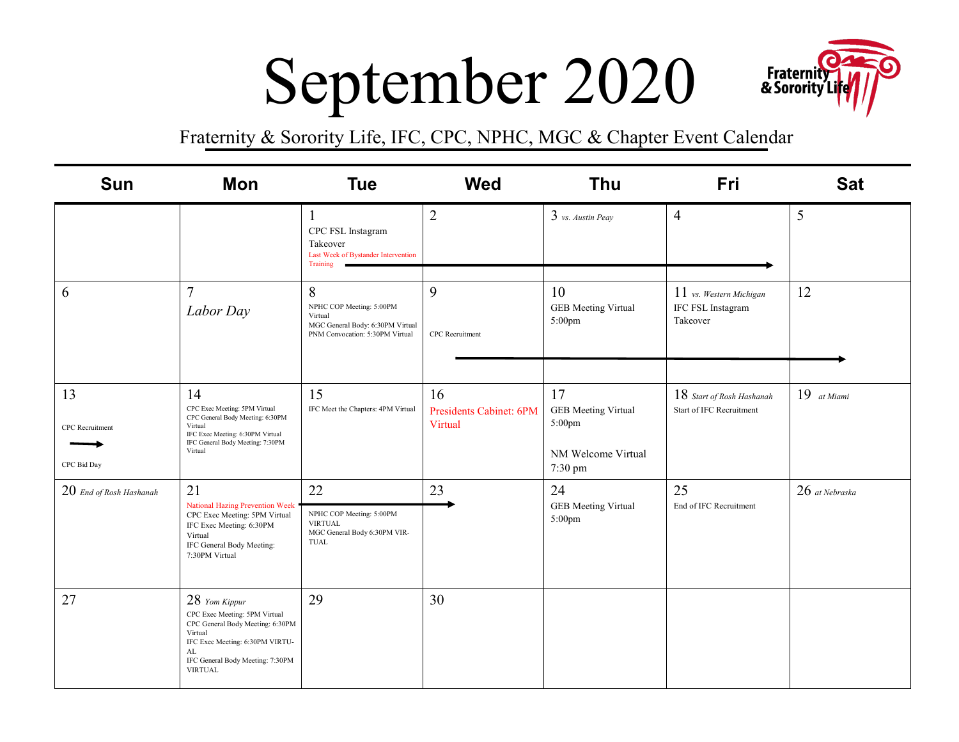# $S$ eptember 2020



| <b>Sun</b>                           | <b>Mon</b>                                                                                                                                                                                   | <b>Tue</b>                                                                                                      | <b>Wed</b>                               | <b>Thu</b>                                                                  | Fri                                                            | <b>Sat</b>       |
|--------------------------------------|----------------------------------------------------------------------------------------------------------------------------------------------------------------------------------------------|-----------------------------------------------------------------------------------------------------------------|------------------------------------------|-----------------------------------------------------------------------------|----------------------------------------------------------------|------------------|
|                                      |                                                                                                                                                                                              | CPC FSL Instagram<br>Takeover<br>Last Week of Bystander Intervention<br>Training                                | $\overline{2}$                           | $3$ vs. Austin Peay                                                         | $\overline{4}$                                                 | 5                |
| 6                                    | $\overline{7}$<br>Labor Day                                                                                                                                                                  | 8<br>NPHC COP Meeting: 5:00PM<br>Virtual<br>MGC General Body: 6:30PM Virtual<br>PNM Convocation: 5:30PM Virtual | 9<br><b>CPC</b> Recruitment              | 10<br><b>GEB</b> Meeting Virtual<br>$5:00$ pm                               | $11$ vs. Western Michigan<br>IFC FSL Instagram<br>Takeover     | 12               |
| 13<br>CPC Recruitment<br>CPC Bid Day | 14<br>CPC Exec Meeting: 5PM Virtual<br>CPC General Body Meeting: 6:30PM<br>Virtual<br>IFC Exec Meeting: 6:30PM Virtual<br>IFC General Body Meeting: 7:30PM<br>Virtual                        | 15<br>IFC Meet the Chapters: 4PM Virtual                                                                        | 16<br>Presidents Cabinet: 6PM<br>Virtual | 17<br><b>GEB</b> Meeting Virtual<br>5:00pm<br>NM Welcome Virtual<br>7:30 pm | $18$ Start of Rosh Hashanah<br><b>Start of IFC Recruitment</b> | $19$ at Miami    |
| $20$ End of Rosh Hashanah            | 21<br><b>National Hazing Prevention Week</b><br>CPC Exec Meeting: 5PM Virtual<br>IFC Exec Meeting: 6:30PM<br>Virtual<br>IFC General Body Meeting:<br>7:30PM Virtual                          | 22<br>NPHC COP Meeting: 5:00PM<br><b>VIRTUAL</b><br>MGC General Body 6:30PM VIR-<br>TUAL                        | 23                                       | 24<br><b>GEB</b> Meeting Virtual<br>5:00pm                                  | 25<br>End of IFC Recruitment                                   | $26$ at Nebraska |
| 27                                   | 28 Yom Kippur<br>CPC Exec Meeting: 5PM Virtual<br>CPC General Body Meeting: 6:30PM<br>Virtual<br>IFC Exec Meeting: 6:30PM VIRTU-<br>AL<br>IFC General Body Meeting: 7:30PM<br><b>VIRTUAL</b> | 29                                                                                                              | 30                                       |                                                                             |                                                                |                  |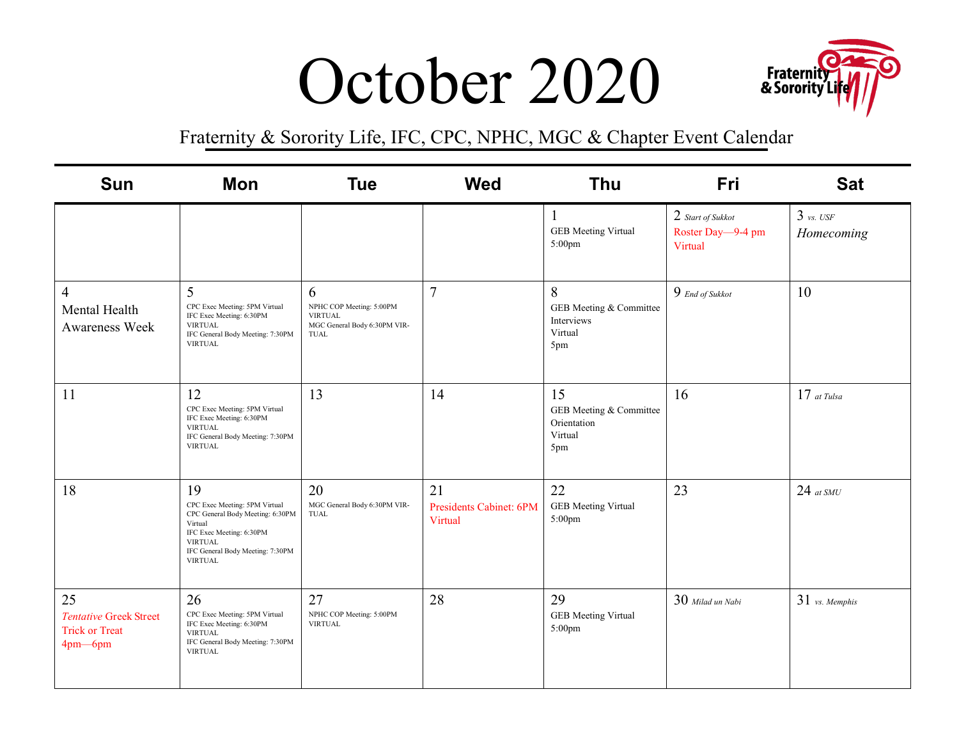### **<sup>~</sup> 1r"** October 2020 & **Sorority'Lif** ~ / / -



| <b>Sun</b>                                                              | Mon                                                                                                                                                                                    | <b>Tue</b>                                                                              | <b>Wed</b>                               | <b>Thu</b>                                                     | Fri                                               | <b>Sat</b>                |
|-------------------------------------------------------------------------|----------------------------------------------------------------------------------------------------------------------------------------------------------------------------------------|-----------------------------------------------------------------------------------------|------------------------------------------|----------------------------------------------------------------|---------------------------------------------------|---------------------------|
|                                                                         |                                                                                                                                                                                        |                                                                                         |                                          | $\perp$<br><b>GEB</b> Meeting Virtual<br>5:00pm                | 2 Start of Sukkot<br>Roster Day-9-4 pm<br>Virtual | $3$ vs. USF<br>Homecoming |
| $\overline{4}$<br>Mental Health<br><b>Awareness Week</b>                | 5<br>CPC Exec Meeting: 5PM Virtual<br>IFC Exec Meeting: 6:30PM<br><b>VIRTUAL</b><br>IFC General Body Meeting: 7:30PM<br><b>VIRTUAL</b>                                                 | 6<br>NPHC COP Meeting: 5:00PM<br><b>VIRTUAL</b><br>MGC General Body 6:30PM VIR-<br>TUAL | $\overline{7}$                           | 8<br>GEB Meeting & Committee<br>Interviews<br>Virtual<br>5pm   | 9 End of Sukkot                                   | 10                        |
| 11                                                                      | 12<br>CPC Exec Meeting: 5PM Virtual<br>IFC Exec Meeting: 6:30PM<br><b>VIRTUAL</b><br>IFC General Body Meeting: 7:30PM<br><b>VIRTUAL</b>                                                | 13                                                                                      | 14                                       | 15<br>GEB Meeting & Committee<br>Orientation<br>Virtual<br>5pm | 16                                                | $17$ at Tulsa             |
| 18                                                                      | 19<br>CPC Exec Meeting: 5PM Virtual<br>CPC General Body Meeting: 6:30PM<br>Virtual<br>IFC Exec Meeting: 6:30PM<br><b>VIRTUAL</b><br>IFC General Body Meeting: 7:30PM<br><b>VIRTUAL</b> | 20<br>MGC General Body 6:30PM VIR-<br>TUAL                                              | 21<br>Presidents Cabinet: 6PM<br>Virtual | 22<br><b>GEB</b> Meeting Virtual<br>5:00pm                     | 23                                                | $24$ at SMU               |
| 25<br><b>Tentative Greek Street</b><br><b>Trick or Treat</b><br>4pm-6pm | 26<br>CPC Exec Meeting: 5PM Virtual<br>IFC Exec Meeting: 6:30PM<br><b>VIRTUAL</b><br>IFC General Body Meeting: 7:30PM<br><b>VIRTUAL</b>                                                | 27<br>NPHC COP Meeting: 5:00PM<br><b>VIRTUAL</b>                                        | 28                                       | 29<br><b>GEB</b> Meeting Virtual<br>5:00pm                     | $30$ Milad un Nabi                                | $31$ vs. Memphis          |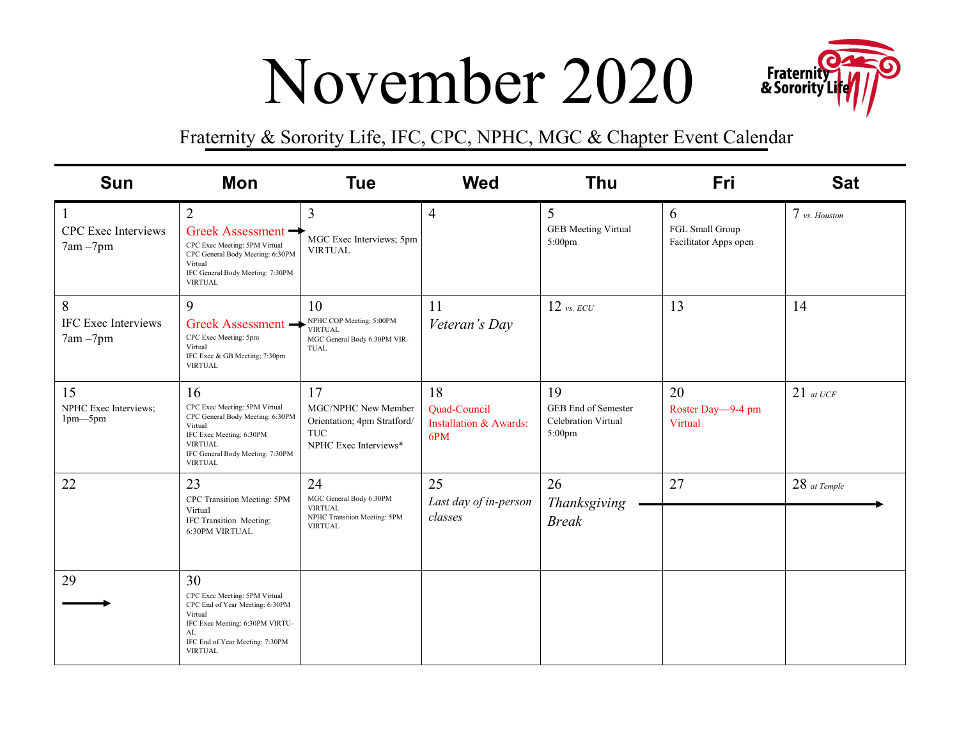### $\text{November}~2020$  Fraternit



| <b>Sun</b>                                         | Mon                                                                                                                                                                                    | <b>Tue</b>                                                                                        | <b>Wed</b>                                                     | <b>Thu</b>                                                        | Fri                                           | <b>Sat</b>     |
|----------------------------------------------------|----------------------------------------------------------------------------------------------------------------------------------------------------------------------------------------|---------------------------------------------------------------------------------------------------|----------------------------------------------------------------|-------------------------------------------------------------------|-----------------------------------------------|----------------|
| $\mathbf{1}$<br>CPC Exec Interviews<br>$7am - 7pm$ | $\overline{2}$<br>Greek Assessment<br>CPC Exec Meeting: 5PM Virtual<br>CPC General Body Meeting: 6:30PM<br>Virtual<br>IFC General Body Meeting: 7:30PM<br><b>VIRTUAL</b>               | $\overline{3}$<br>MGC Exec Interviews; 5pm<br><b>VIRTUAL</b>                                      | $\overline{4}$                                                 | 5<br><b>GEB</b> Meeting Virtual<br>$5:00$ pm                      | 6<br>FGL Small Group<br>Facilitator Apps open | 7 vs. Houston  |
| 8<br><b>IFC Exec Interviews</b><br>$7am - 7pm$     | 9<br>Greek Assessment -<br>CPC Exec Meeting: 5pm<br>Virtual<br>IFC Exec & GB Meeting; 7:30pm<br><b>VIRTUAL</b>                                                                         | 10<br>NPHC COP Meeting: 5:00PM<br><b>VIRTUAL</b><br>MGC General Body 6:30PM VIR-<br>TUAL          | 11<br>Veteran's Day                                            | $12$ vs. ECU                                                      | 13                                            | 14             |
| 15<br>NPHC Exec Interviews;<br>$1pm-5pm$           | 16<br>CPC Exec Meeting: 5PM Virtual<br>CPC General Body Meeting: 6:30PM<br>Virtual<br>IFC Exec Meeting: 6:30PM<br><b>VIRTUAL</b><br>IFC General Body Meeting: 7:30PM<br><b>VIRTUAL</b> | 17<br>MGC/NPHC New Member<br>Orientation; 4pm Stratford/<br><b>TUC</b><br>NPHC Exec Interviews*   | 18<br>Quad-Council<br><b>Installation &amp; Awards:</b><br>6PM | 19<br>GEB End of Semester<br><b>Celebration Virtual</b><br>5:00pm | 20<br>Roster Day-9-4 pm<br>Virtual            | $21$ at UCF    |
| 22                                                 | 23<br>CPC Transition Meeting: 5PM<br>Virtual<br>IFC Transition Meeting:<br>6:30PM VIRTUAL                                                                                              | 24<br>MGC General Body 6:30PM<br><b>VIRTUAL</b><br>NPHC Transition Meeting: 5PM<br><b>VIRTUAL</b> | 25<br>Last day of in-person<br>classes                         | 26<br>Thanksgiving<br><b>Break</b>                                | 27                                            | $28$ at Temple |
| 29                                                 | 30<br>CPC Exec Meeting: 5PM Virtual<br>CPC End of Year Meeting: 6:30PM<br>Virtual<br>IFC Exec Meeting: 6:30PM VIRTU-<br>AL<br>IFC End of Year Meeting: 7:30PM<br><b>VIRTUAL</b>        |                                                                                                   |                                                                |                                                                   |                                               |                |